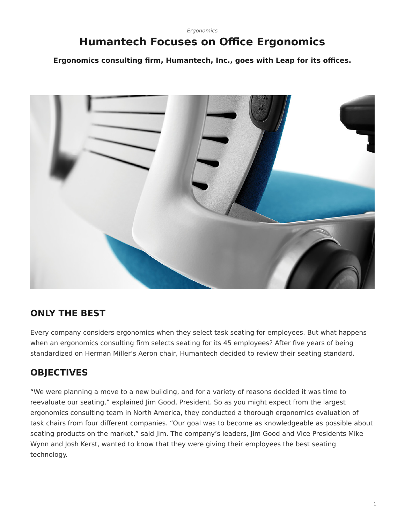#### <span id="page-0-0"></span>*[Ergonomics](https://www.steelcase.com/research/topics/ergonomics/)* **Humantech Focuses on Office Ergonomics**

**Ergonomics consulting firm, Humantech, Inc., goes with Leap for its offices.**



# **ONLY THE BEST**

Every company considers ergonomics when they select task seating for employees. But what happens when an ergonomics consulting firm selects seating for its 45 employees? After five years of being standardized on Herman Miller's Aeron chair, Humantech decided to review their seating standard.

# **OBJECTIVES**

"We were planning a move to a new building, and for a variety of reasons decided it was time to reevaluate our seating," explained Jim Good, President. So as you might expect from the largest ergonomics consulting team in North America, they conducted a thorough ergonomics evaluation of task chairs from four different companies. "Our goal was to become as knowledgeable as possible about seating products on the market," said Jim. The company's leaders, Jim Good and Vice Presidents Mike Wynn and Josh Kerst, wanted to know that they were giving their employees the best seating technology.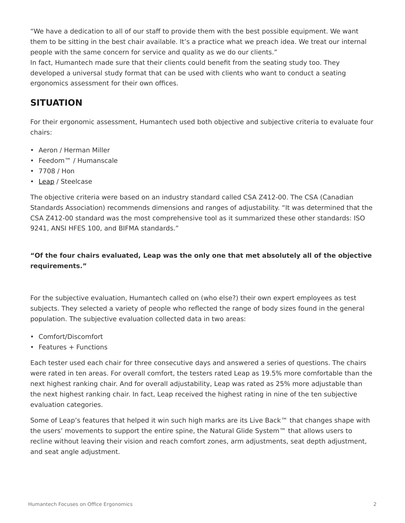"We have a dedication to all of our staff to provide them with the best possible equipment. We want them to be sitting in the best chair available. It's a practice what we preach idea. We treat our internal people with the same concern for service and quality as we do our clients."

In fact, Humantech made sure that their clients could benefit from the seating study too. They developed a universal study format that can be used with clients who want to conduct a seating ergonomics assessment for their own offices.

## **SITUATION**

For their ergonomic assessment, Humantech used both objective and subjective criteria to evaluate four chairs:

- Aeron / Herman Miller
- Feedom™ / Humanscale
- 7708 / Hon
- [Leap](https://www.steelcase.com/products/lounge-seating/leap/) / Steelcase

The objective criteria were based on an industry standard called CSA Z412-00. The CSA (Canadian Standards Association) recommends dimensions and ranges of adjustability. "It was determined that the CSA Z412-00 standard was the most comprehensive tool as it summarized these other standards: ISO 9241, ANSI HFES 100, and BIFMA standards."

#### **"Of the four chairs evaluated, Leap was the only one that met absolutely all of the objective requirements."**

For the subjective evaluation, Humantech called on (who else?) their own expert employees as test subjects. They selected a variety of people who reflected the range of body sizes found in the general population. The subjective evaluation collected data in two areas:

- Comfort/Discomfort
- Features + Functions

Each tester used each chair for three consecutive days and answered a series of questions. The chairs were rated in ten areas. For overall comfort, the testers rated Leap as 19.5% more comfortable than the next highest ranking chair. And for overall adjustability, Leap was rated as 25% more adjustable than the next highest ranking chair. In fact, Leap received the highest rating in nine of the ten subjective evaluation categories.

Some of Leap's features that helped it win such high marks are its Live Back™ that changes shape with the users' movements to support the entire spine, the Natural Glide System™ that allows users to recline without leaving their vision and reach comfort zones, arm adjustments, seat depth adjustment, and seat angle adjustment.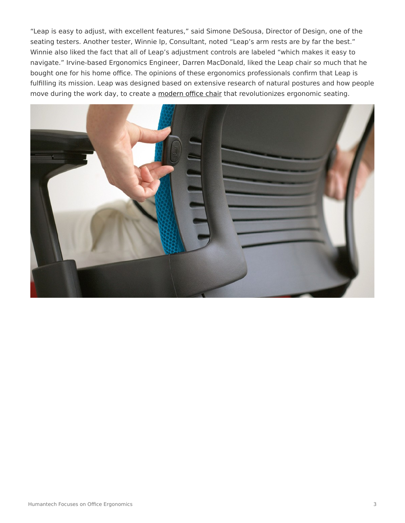"Leap is easy to adjust, with excellent features," said Simone DeSousa, Director of Design, one of the seating testers. Another tester, Winnie Ip, Consultant, noted "Leap's arm rests are by far the best." Winnie also liked the fact that all of Leap's adjustment controls are labeled "which makes it easy to navigate." Irvine-based Ergonomics Engineer, Darren MacDonald, liked the Leap chair so much that he bought one for his home office. The opinions of these ergonomics professionals confirm that Leap is fulfilling its mission. Leap was designed based on extensive research of natural postures and how people move during the work day, to create a [modern office chair](https://www.steelcase.com/products/office-chairs/) that revolutionizes ergonomic seating.

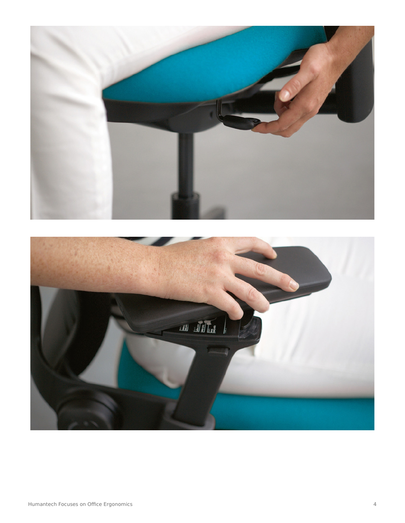

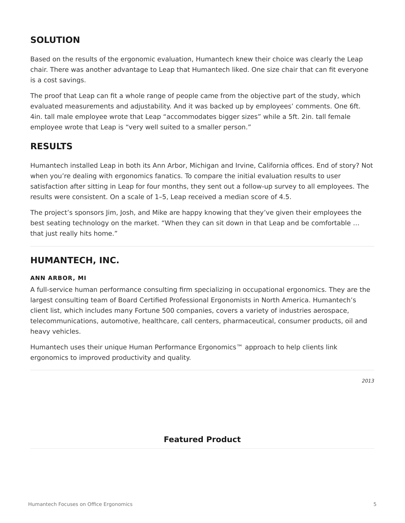### **SOLUTION**

Based on the results of the ergonomic evaluation, Humantech knew their choice was clearly the Leap chair. There was another advantage to Leap that Humantech liked. One size chair that can fit everyone is a cost savings.

The proof that Leap can fit a whole range of people came from the objective part of the study, which evaluated measurements and adjustability. And it was backed up by employees' comments. One 6ft. 4in. tall male employee wrote that Leap "accommodates bigger sizes" while a 5ft. 2in. tall female employee wrote that Leap is "very well suited to a smaller person."

### **RESULTS**

Humantech installed Leap in both its Ann Arbor, Michigan and Irvine, California offices. End of story? Not when you're dealing with ergonomics fanatics. To compare the initial evaluation results to user satisfaction after sitting in Leap for four months, they sent out a follow-up survey to all employees. The results were consistent. On a scale of 1–5, Leap received a median score of 4.5.

The project's sponsors Jim, Josh, and Mike are happy knowing that they've given their employees the best seating technology on the market. "When they can sit down in that Leap and be comfortable … that just really hits home."

### **HUMANTECH, INC.**

#### **ANN ARBOR, MI**

A full-service human performance consulting firm specializing in occupational ergonomics. They are the largest consulting team of Board Certified Professional Ergonomists in North America. Humantech's client list, which includes many Fortune 500 companies, covers a variety of industries aerospace, telecommunications, automotive, healthcare, call centers, pharmaceutical, consumer products, oil and heavy vehicles.

Humantech uses their unique Human Performance Ergonomics™ approach to help clients link ergonomics to improved productivity and quality.

*2013*

#### **Featured Product**